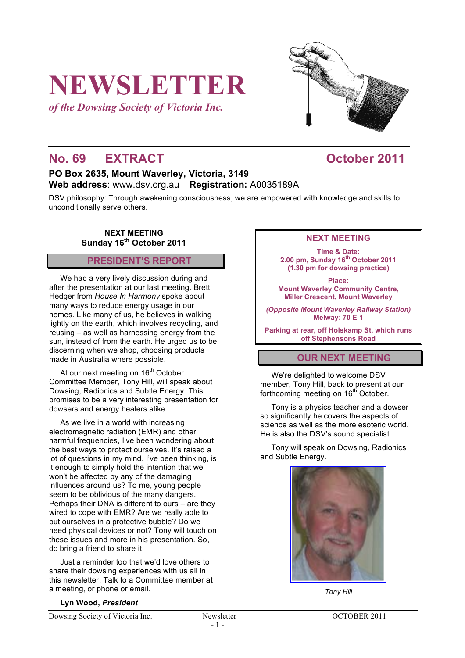# **NEWSLETTER**

*of the Dowsing Society of Victoria Inc.*



# **No. 69 EXTRACT COLORED COLORED 10011**

# **PO Box 2635, Mount Waverley, Victoria, 3149 Web address**: www.dsv.org.au **Registration:** A0035189A

DSV philosophy: Through awakening consciousness, we are empowered with knowledge and skills to unconditionally serve others.

**NEXT MEETING Sunday 16th October 2011**

# **PRESIDENT'S REPORT**

We had a very lively discussion during and after the presentation at our last meeting. Brett Hedger from *House In Harmony* spoke about many ways to reduce energy usage in our homes. Like many of us, he believes in walking lightly on the earth, which involves recycling, and reusing – as well as harnessing energy from the sun, instead of from the earth. He urged us to be discerning when we shop, choosing products made in Australia where possible.

At our next meeting on 16<sup>th</sup> October Committee Member, Tony Hill, will speak about Dowsing, Radionics and Subtle Energy. This promises to be a very interesting presentation for dowsers and energy healers alike.

As we live in a world with increasing electromagnetic radiation (EMR) and other harmful frequencies, I've been wondering about the best ways to protect ourselves. It's raised a lot of questions in my mind. I've been thinking, is it enough to simply hold the intention that we won't be affected by any of the damaging influences around us? To me, young people seem to be oblivious of the many dangers. Perhaps their DNA is different to ours – are they wired to cope with EMR? Are we really able to put ourselves in a protective bubble? Do we need physical devices or not? Tony will touch on these issues and more in his presentation. So, do bring a friend to share it.

Just a reminder too that we'd love others to share their dowsing experiences with us all in this newsletter. Talk to a Committee member at a meeting, or phone or email.

## **NEXT MEETING**

**Time & Date: 2.00 pm, Sunday 16th October 2011 (1.30 pm for dowsing practice)**

**Place: Mount Waverley Community Centre, Miller Crescent, Mount Waverley**

*(Opposite Mount Waverley Railway Station)* **Melway: 70 E 1**

**Parking at rear, off Holskamp St. which runs off Stephensons Road**

# **OUR NEXT MEETING**

We're delighted to welcome DSV member, Tony Hill, back to present at our forthcoming meeting on 16<sup>th</sup> October.

Tony is a physics teacher and a dowser so significantly he covers the aspects of science as well as the more esoteric world. He is also the DSV's sound specialist.

Tony will speak on Dowsing, Radionics and Subtle Energy.



*Tony Hill*

#### **Lyn Wood,** *President*

Dowsing Society of Victoria Inc. Newsletter OCTOBER 2011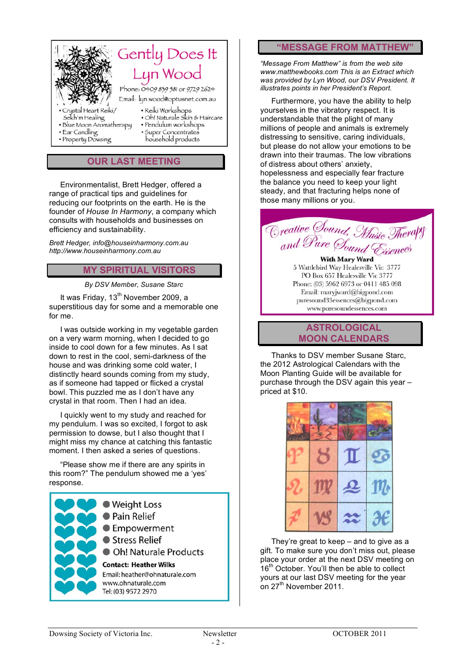

# **OUR LAST MEETING**

Environmentalist, Brett Hedger, offered a range of practical tips and guidelines for reducing our footprints on the earth. He is the founder of *House In Harmony*, a company which consults with households and businesses on efficiency and sustainability.

*Brett Hedger, info@houseinharmony.com.au http://www.houseinharmony.com.au*

#### **MY SPIRITUAL VISITORS**

#### *By DSV Member, Susane Starc*

It was Friday, 13<sup>th</sup> November 2009, a superstitious day for some and a memorable one for me.

I was outside working in my vegetable garden on a very warm morning, when I decided to go inside to cool down for a few minutes. As I sat down to rest in the cool, semi-darkness of the house and was drinking some cold water, I distinctly heard sounds coming from my study, as if someone had tapped or flicked a crystal bowl. This puzzled me as I don't have any crystal in that room. Then I had an idea.

I quickly went to my study and reached for my pendulum. I was so excited, I forgot to ask permission to dowse, but I also thought that I might miss my chance at catching this fantastic moment. I then asked a series of questions.

"Please show me if there are any spirits in this room?" The pendulum showed me a 'yes' response.



#### **"MESSAGE FROM MATTHEW"**

*"Message From Matthew" is from the web site www.matthewbooks.com This is an Extract which was provided by Lyn Wood, our DSV President. It illustrates points in her President's Report.*

Furthermore, you have the ability to help yourselves in the vibratory respect. It is understandable that the plight of many millions of people and animals is extremely distressing to sensitive, caring individuals, but please do not allow your emotions to be drawn into their traumas. The low vibrations of distress about others' anxiety, hopelessness and especially fear fracture the balance you need to keep your light steady, and that fracturing helps none of those many millions or you.



5 Wattlebird Way Healesville Vic 3777 PO Box 657 Healesville Vic 3777 Phone: (03) 5962 6973 or 0411 485 098 Email: maryjward@bigpond.com puresound33essences@bigpond.com www.puresoundessences.com

**ASTROLOGICAL MOON CALENDARS**

Thanks to DSV member Susane Starc, the 2012 Astrological Calendars with the Moon Planting Guide will be available for purchase through the DSV again this year – priced at \$10.



They're great to keep – and to give as a gift. To make sure you don't miss out, please place your order at the next DSV meeting on 16<sup>th</sup> October. You'll then be able to collect yours at our last DSV meeting for the year on  $27<sup>th</sup>$  November 2011.